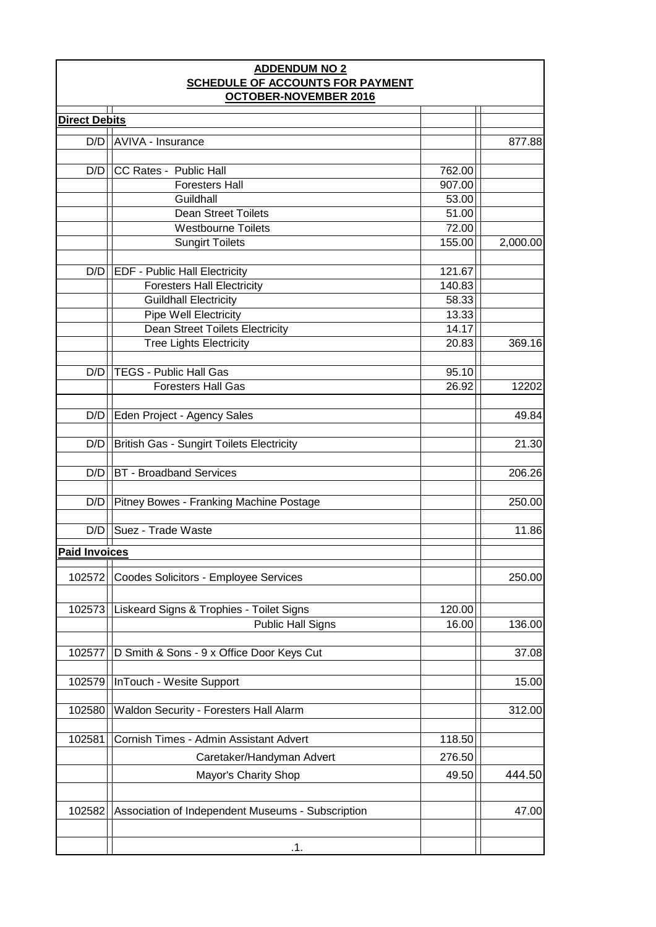| <b>ADDENDUM NO 2</b><br><b>SCHEDULE OF ACCOUNTS FOR PAYMENT</b><br><b>OCTOBER-NOVEMBER 2016</b> |                                                   |        |          |  |  |
|-------------------------------------------------------------------------------------------------|---------------------------------------------------|--------|----------|--|--|
|                                                                                                 |                                                   |        |          |  |  |
| <b>Direct Debits</b>                                                                            |                                                   |        |          |  |  |
| D/D                                                                                             | <b>AVIVA - Insurance</b>                          |        | 877.88   |  |  |
| D/D                                                                                             | CC Rates - Public Hall                            | 762.00 |          |  |  |
|                                                                                                 | <b>Foresters Hall</b>                             | 907.00 |          |  |  |
|                                                                                                 | Guildhall                                         | 53.00  |          |  |  |
|                                                                                                 | <b>Dean Street Toilets</b>                        | 51.00  |          |  |  |
|                                                                                                 | <b>Westbourne Toilets</b>                         | 72.00  |          |  |  |
|                                                                                                 | <b>Sungirt Toilets</b>                            | 155.00 | 2,000.00 |  |  |
|                                                                                                 |                                                   |        |          |  |  |
| D/D                                                                                             | <b>EDF - Public Hall Electricity</b>              | 121.67 |          |  |  |
|                                                                                                 | <b>Foresters Hall Electricity</b>                 | 140.83 |          |  |  |
|                                                                                                 | <b>Guildhall Electricity</b>                      | 58.33  |          |  |  |
|                                                                                                 | <b>Pipe Well Electricity</b>                      | 13.33  |          |  |  |
|                                                                                                 | <b>Dean Street Toilets Electricity</b>            | 14.17  |          |  |  |
|                                                                                                 | <b>Tree Lights Electricity</b>                    | 20.83  | 369.16   |  |  |
|                                                                                                 |                                                   |        |          |  |  |
| D/D                                                                                             | <b>TEGS - Public Hall Gas</b>                     | 95.10  |          |  |  |
|                                                                                                 | <b>Foresters Hall Gas</b>                         | 26.92  | 12202    |  |  |
|                                                                                                 |                                                   |        |          |  |  |
| D/D                                                                                             | Eden Project - Agency Sales                       |        | 49.84    |  |  |
|                                                                                                 |                                                   |        |          |  |  |
| D/D                                                                                             | <b>British Gas - Sungirt Toilets Electricity</b>  |        | 21.30    |  |  |
| D/D                                                                                             | <b>BT</b> - Broadband Services                    |        | 206.26   |  |  |
| D/D                                                                                             | Pitney Bowes - Franking Machine Postage           |        | 250.00   |  |  |
| D/D                                                                                             | Suez - Trade Waste                                |        | 11.86    |  |  |
| <b>Paid Invoices</b>                                                                            |                                                   |        |          |  |  |
|                                                                                                 |                                                   |        |          |  |  |
| 102572                                                                                          | Coodes Solicitors - Employee Services             |        | 250.00   |  |  |
|                                                                                                 |                                                   |        |          |  |  |
| 102573                                                                                          | Liskeard Signs & Trophies - Toilet Signs          | 120.00 |          |  |  |
|                                                                                                 | <b>Public Hall Signs</b>                          | 16.00  | 136.00   |  |  |
|                                                                                                 |                                                   |        |          |  |  |
| 102577                                                                                          | D Smith & Sons - 9 x Office Door Keys Cut         |        | 37.08    |  |  |
|                                                                                                 |                                                   |        |          |  |  |
| 102579                                                                                          | InTouch - Wesite Support                          |        | 15.00    |  |  |
|                                                                                                 |                                                   |        |          |  |  |
| 102580                                                                                          | Waldon Security - Foresters Hall Alarm            |        | 312.00   |  |  |
|                                                                                                 |                                                   |        |          |  |  |
| 102581                                                                                          | Cornish Times - Admin Assistant Advert            | 118.50 |          |  |  |
|                                                                                                 | Caretaker/Handyman Advert                         | 276.50 |          |  |  |
|                                                                                                 | Mayor's Charity Shop                              | 49.50  | 444.50   |  |  |
|                                                                                                 |                                                   |        |          |  |  |
| 102582                                                                                          | Association of Independent Museums - Subscription |        | 47.00    |  |  |
|                                                                                                 |                                                   |        |          |  |  |
|                                                                                                 |                                                   |        |          |  |  |
|                                                                                                 | .1.                                               |        |          |  |  |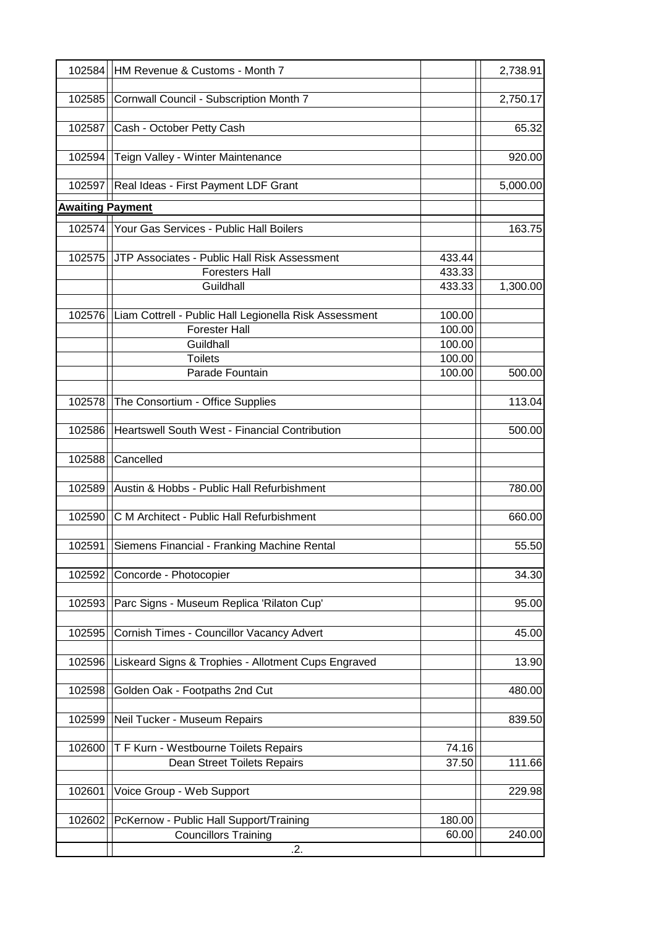|                         | 102584   HM Revenue & Customs - Month 7                |        | 2,738.91 |
|-------------------------|--------------------------------------------------------|--------|----------|
| 102585                  | Cornwall Council - Subscription Month 7                |        | 2,750.17 |
| 102587                  | Cash - October Petty Cash                              |        | 65.32    |
| 102594                  | Teign Valley - Winter Maintenance                      |        | 920.00   |
|                         | 102597 Real Ideas - First Payment LDF Grant            |        | 5,000.00 |
| <b>Awaiting Payment</b> |                                                        |        |          |
|                         | 102574   Your Gas Services - Public Hall Boilers       |        | 163.75   |
| 102575                  | JTP Associates - Public Hall Risk Assessment           | 433.44 |          |
|                         | <b>Foresters Hall</b>                                  | 433.33 |          |
|                         | Guildhall                                              | 433.33 | 1,300.00 |
|                         |                                                        |        |          |
| 102576                  | Liam Cottrell - Public Hall Legionella Risk Assessment | 100.00 |          |
|                         | <b>Forester Hall</b>                                   | 100.00 |          |
|                         | Guildhall                                              | 100.00 |          |
|                         | <b>Toilets</b>                                         | 100.00 |          |
|                         | Parade Fountain                                        | 100.00 | 500.00   |
| 102578                  | The Consortium - Office Supplies                       |        | 113.04   |
| 102586                  | Heartswell South West - Financial Contribution         |        | 500.00   |
| 102588                  | Cancelled                                              |        |          |
| 102589                  | Austin & Hobbs - Public Hall Refurbishment             |        | 780.00   |
| 102590                  | C M Architect - Public Hall Refurbishment              |        | 660.00   |
| 102591                  | Siemens Financial - Franking Machine Rental            |        | 55.50    |
| 102592                  | Concorde - Photocopier                                 |        | 34.30    |
| 102593                  | Parc Signs - Museum Replica 'Rilaton Cup'              |        | 95.00    |
| 102595                  | Cornish Times - Councillor Vacancy Advert              |        | 45.00    |
|                         |                                                        |        |          |
| 102596                  | Liskeard Signs & Trophies - Allotment Cups Engraved    |        | 13.90    |
| 102598                  | Golden Oak - Footpaths 2nd Cut                         |        | 480.00   |
| 102599                  | Neil Tucker - Museum Repairs                           |        | 839.50   |
| 102600                  | T F Kurn - Westbourne Toilets Repairs                  | 74.16  |          |
|                         | Dean Street Toilets Repairs                            | 37.50  | 111.66   |
|                         |                                                        |        |          |
| 102601                  | Voice Group - Web Support                              |        | 229.98   |
| 102602                  | PcKernow - Public Hall Support/Training                | 180.00 |          |
|                         | <b>Councillors Training</b>                            | 60.00  | 240.00   |
|                         | .2.                                                    |        |          |